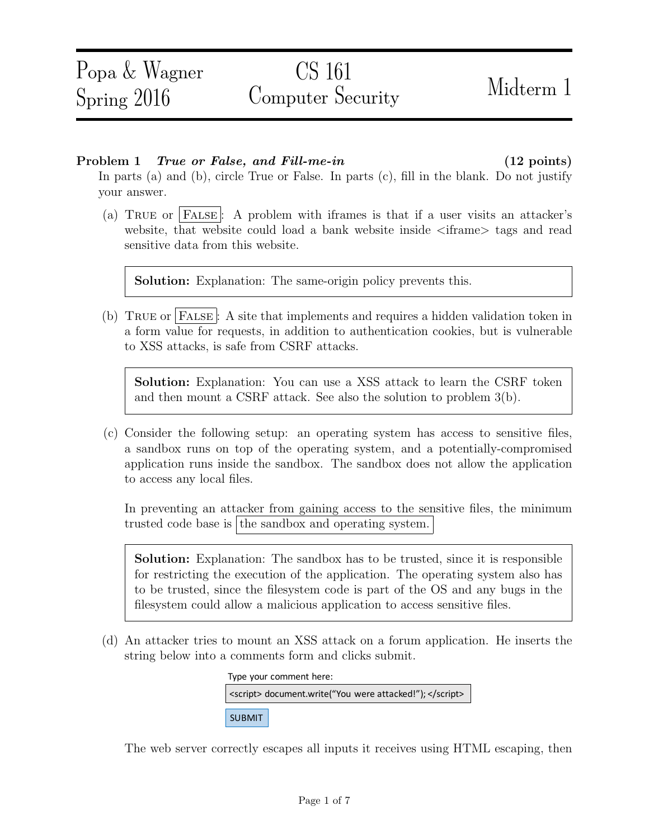### Problem 1 True or False, and Fill-me-in (12 points)

In parts (a) and (b), circle True or False. In parts  $(c)$ , fill in the blank. Do not justify your answer.

(a) TRUE or FALSE: A problem with iframes is that if a user visits an attacker's website, that website could load a bank website inside  $\langle$  if rame  $\rangle$  tags and read sensitive data from this website.

Solution: Explanation: The same-origin policy prevents this.

(b) True or False : A site that implements and requires a hidden validation token in a form value for requests, in addition to authentication cookies, but is vulnerable to XSS attacks, is safe from CSRF attacks.

Solution: Explanation: You can use a XSS attack to learn the CSRF token and then mount a CSRF attack. See also the solution to problem 3(b).

(c) Consider the following setup: an operating system has access to sensitive files, a sandbox runs on top of the operating system, and a potentially-compromised application runs inside the sandbox. The sandbox does not allow the application to access any local files.

In preventing an attacker from gaining access to the sensitive files, the minimum trusted code base is the sandbox and operating system.

Solution: Explanation: The sandbox has to be trusted, since it is responsible for restricting the execution of the application. The operating system also has to be trusted, since the filesystem code is part of the OS and any bugs in the filesystem could allow a malicious application to access sensitive files.

(d) An attacker tries to mount an XSS attack on a forum application. He inserts the string below into a comments form and clicks submit.

| Type your comment here:                                  |  |  |
|----------------------------------------------------------|--|--|
| <script> document.write("You were attacked!"); </script> |  |  |
| <b>SUBMIT</b>                                            |  |  |

The web server correctly escapes all inputs it receives using HTML escaping, then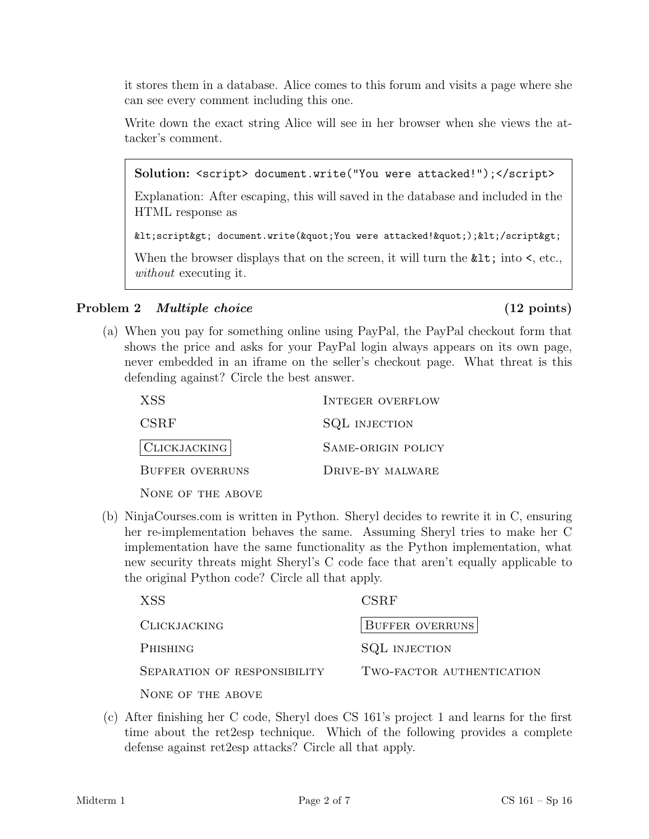it stores them in a database. Alice comes to this forum and visits a page where she can see every comment including this one.

Write down the exact string Alice will see in her browser when she views the attacker's comment.

Solution: <script> document.write("You were attacked!");</script>

Explanation: After escaping, this will saved in the database and included in the HTML response as

```
<script&gt; document.write(&quot;You were attacked!&quot;);&lt;/script&gt;
```
When the browser displays that on the screen, it will turn the  $\&1t$ ; into  $\leq$ , etc., without executing it.

# Problem 2 *Multiple choice* (12 points)

(a) When you pay for something online using PayPal, the PayPal checkout form that shows the price and asks for your PayPal login always appears on its own page, never embedded in an iframe on the seller's checkout page. What threat is this defending against? Circle the best answer.

| XSS                    | <b>INTEGER OVERFLOW</b> |
|------------------------|-------------------------|
| CSRF                   | <b>SQL INJECTION</b>    |
| $ C$ LICKJACKING $ $   | SAME-ORIGIN POLICY      |
| <b>BUFFER OVERRUNS</b> | DRIVE-BY MALWARE        |
| NONE OF THE ABOVE      |                         |

(b) NinjaCourses.com is written in Python. Sheryl decides to rewrite it in C, ensuring her re-implementation behaves the same. Assuming Sheryl tries to make her C implementation have the same functionality as the Python implementation, what new security threats might Sheryl's C code face that aren't equally applicable to the original Python code? Circle all that apply.

| XSS <sup></sup>              | CSRF                      |
|------------------------------|---------------------------|
| <b>CLICKJACKING</b>          | <b>BUFFER OVERRUNS</b>    |
| PHISHING                     | <b>SQL INJECTION</b>      |
| SEPARATION OF RESPONSIBILITY | TWO-FACTOR AUTHENTICATION |
| NONE OF THE ABOVE            |                           |

(c) After finishing her C code, Sheryl does CS 161's project 1 and learns for the first time about the ret2esp technique. Which of the following provides a complete defense against ret2esp attacks? Circle all that apply.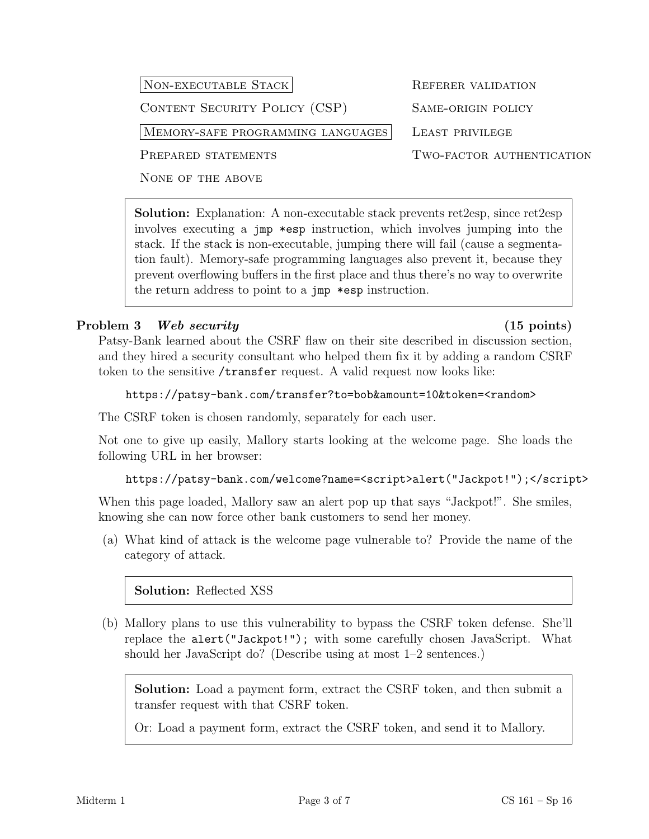# NON-EXECUTABLE STACK REFERER VALIDATION

CONTENT SECURITY POLICY (CSP) SAME-ORIGIN POLICY

MEMORY-SAFE PROGRAMMING LANGUAGES LEAST PRIVILEGE

NONE OF THE ABOVE

Solution: Explanation: A non-executable stack prevents ret2esp, since ret2esp involves executing a jmp \*esp instruction, which involves jumping into the stack. If the stack is non-executable, jumping there will fail (cause a segmentation fault). Memory-safe programming languages also prevent it, because they prevent overflowing buffers in the first place and thus there's no way to overwrite the return address to point to a jmp \*esp instruction.

# Problem 3 Web security (15 points)

# Patsy-Bank learned about the CSRF flaw on their site described in discussion section, and they hired a security consultant who helped them fix it by adding a random CSRF token to the sensitive /transfer request. A valid request now looks like:

## https://patsy-bank.com/transfer?to=bob&amount=10&token=<random>

The CSRF token is chosen randomly, separately for each user.

Not one to give up easily, Mallory starts looking at the welcome page. She loads the following URL in her browser:

### https://patsy-bank.com/welcome?name=<script>alert("Jackpot!");</script>

When this page loaded, Mallory saw an alert pop up that says "Jackpot!". She smiles, knowing she can now force other bank customers to send her money.

(a) What kind of attack is the welcome page vulnerable to? Provide the name of the category of attack.

Solution: Reflected XSS

(b) Mallory plans to use this vulnerability to bypass the CSRF token defense. She'll replace the alert("Jackpot!"); with some carefully chosen JavaScript. What should her JavaScript do? (Describe using at most 1–2 sentences.)

Solution: Load a payment form, extract the CSRF token, and then submit a transfer request with that CSRF token.

Or: Load a payment form, extract the CSRF token, and send it to Mallory.

PREPARED STATEMENTS TWO-FACTOR AUTHENTICATION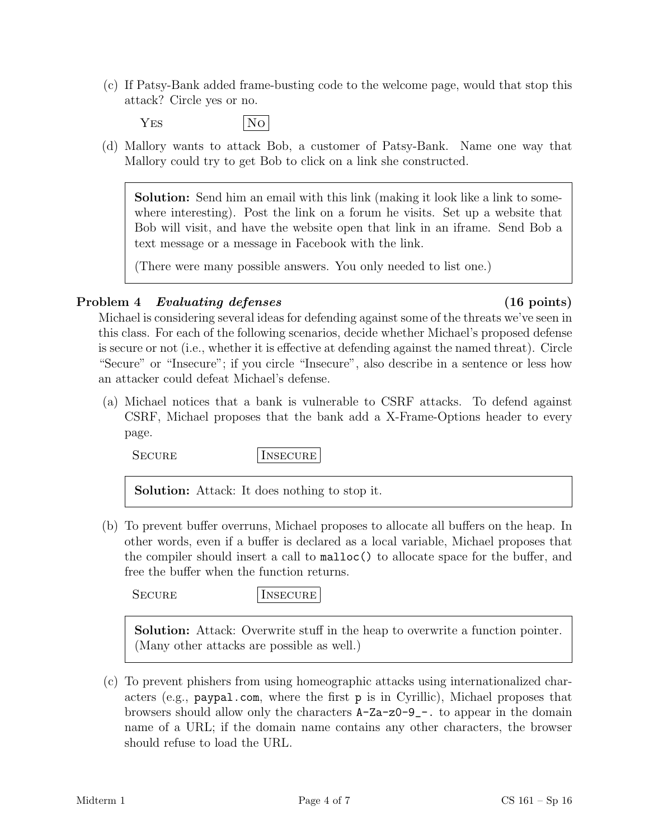- (c) If Patsy-Bank added frame-busting code to the welcome page, would that stop this attack? Circle yes or no.
	- YES No
- (d) Mallory wants to attack Bob, a customer of Patsy-Bank. Name one way that Mallory could try to get Bob to click on a link she constructed.

Solution: Send him an email with this link (making it look like a link to somewhere interesting). Post the link on a forum he visits. Set up a website that Bob will visit, and have the website open that link in an iframe. Send Bob a text message or a message in Facebook with the link.

(There were many possible answers. You only needed to list one.)

## Problem 4 Evaluating defenses (16 points)

Michael is considering several ideas for defending against some of the threats we've seen in this class. For each of the following scenarios, decide whether Michael's proposed defense is secure or not (i.e., whether it is effective at defending against the named threat). Circle "Secure" or "Insecure"; if you circle "Insecure", also describe in a sentence or less how an attacker could defeat Michael's defense.

(a) Michael notices that a bank is vulnerable to CSRF attacks. To defend against CSRF, Michael proposes that the bank add a X-Frame-Options header to every page.

SECURE INSECURE

Solution: Attack: It does nothing to stop it.

(b) To prevent buffer overruns, Michael proposes to allocate all buffers on the heap. In other words, even if a buffer is declared as a local variable, Michael proposes that the compiler should insert a call to malloc() to allocate space for the buffer, and free the buffer when the function returns.

SECURE INSECURE

Solution: Attack: Overwrite stuff in the heap to overwrite a function pointer. (Many other attacks are possible as well.)

(c) To prevent phishers from using homeographic attacks using internationalized characters (e.g., paypal.com, where the first p is in Cyrillic), Michael proposes that browsers should allow only the characters A-Za-z0-9\_-. to appear in the domain name of a URL; if the domain name contains any other characters, the browser should refuse to load the URL.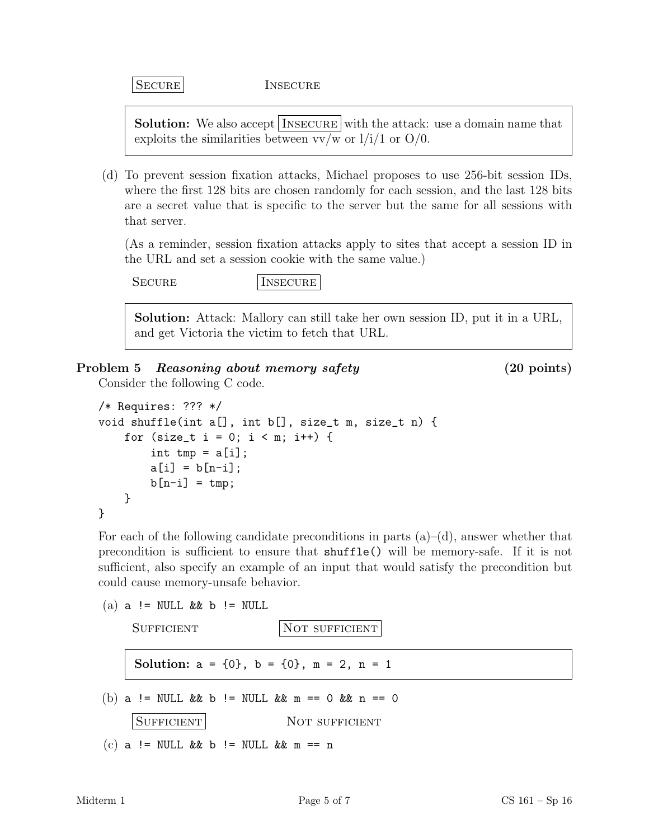|SECURE INSECURE

**Solution:** We also accept INSECURE with the attack: use a domain name that exploits the similarities between  $vv/w$  or  $1/i/1$  or  $O/0$ .

(d) To prevent session fixation attacks, Michael proposes to use 256-bit session IDs, where the first 128 bits are chosen randomly for each session, and the last 128 bits are a secret value that is specific to the server but the same for all sessions with that server.

(As a reminder, session fixation attacks apply to sites that accept a session ID in the URL and set a session cookie with the same value.)

SECURE INSECURE

Solution: Attack: Mallory can still take her own session ID, put it in a URL, and get Victoria the victim to fetch that URL.

## Problem 5 Reasoning about memory safety (20 points)

Consider the following C code.

```
/* Requires: ??? */
void shuffle(int a[], int b[], size_t m, size_t n) {
    for (size_t i = 0; i < m; i++) {
        int tmp = a[i];
        a[i] = b[n-i];b[n-i] = tmp;}
}
```
For each of the following candidate preconditions in parts  $(a)$ – $(d)$ , answer whether that precondition is sufficient to ensure that shuffle() will be memory-safe. If it is not sufficient, also specify an example of an input that would satisfy the precondition but could cause memory-unsafe behavior.

 $(a)$  a != NULL & & b != NULL

SUFFICIENT NOT SUFFICIENT Solution:  $a = \{0\}$ ,  $b = \{0\}$ ,  $m = 2$ ,  $n = 1$ (b) a != NULL && b != NULL && m == 0 && n == 0 SUFFICIENT NOT SUFFICIENT (c) a != NULL && b != NULL && m == n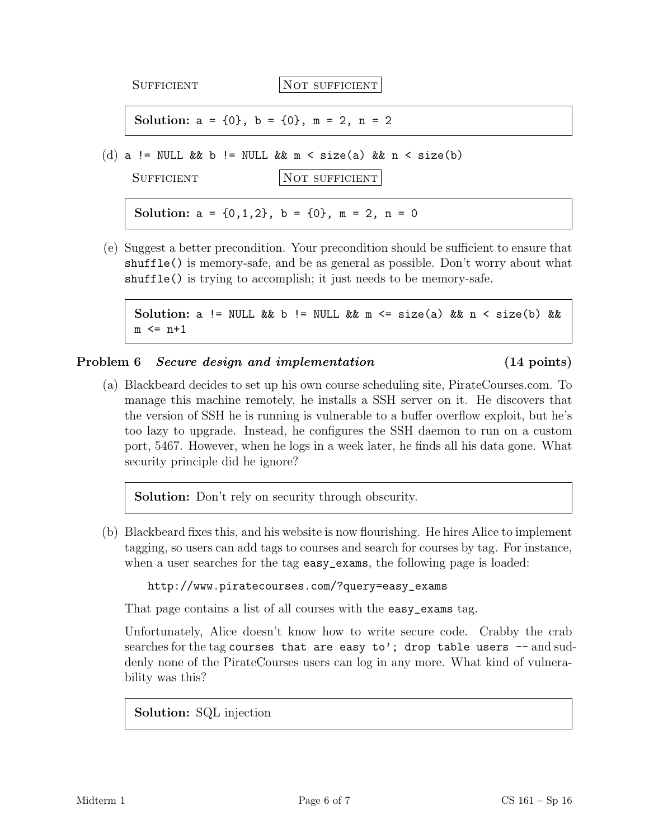|                                                                            | <b>SUFFICIENT</b>                                       | NOT SUFFICIENT                                                |
|----------------------------------------------------------------------------|---------------------------------------------------------|---------------------------------------------------------------|
|                                                                            | Solution: $a = \{0\}$ , $b = \{0\}$ , $m = 2$ , $n = 2$ |                                                               |
| (d) a != NULL && b != NULL && m < size(a) && n < size(b)<br>NOT SUFFICIENT |                                                         |                                                               |
|                                                                            | <b>SUFFICIENT</b>                                       | Solution: $a = \{0, 1, 2\}$ , $b = \{0\}$ , $m = 2$ , $n = 0$ |

(e) Suggest a better precondition. Your precondition should be sufficient to ensure that shuffle() is memory-safe, and be as general as possible. Don't worry about what shuffle() is trying to accomplish; it just needs to be memory-safe.

Solution: a != NULL && b != NULL && m <= size(a) && n < size(b) &&  $m \leq n+1$ 

### Problem 6 Secure design and implementation (14 points)

(a) Blackbeard decides to set up his own course scheduling site, PirateCourses.com. To manage this machine remotely, he installs a SSH server on it. He discovers that the version of SSH he is running is vulnerable to a buffer overflow exploit, but he's too lazy to upgrade. Instead, he configures the SSH daemon to run on a custom port, 5467. However, when he logs in a week later, he finds all his data gone. What security principle did he ignore?

Solution: Don't rely on security through obscurity.

(b) Blackbeard fixes this, and his website is now flourishing. He hires Alice to implement tagging, so users can add tags to courses and search for courses by tag. For instance, when a user searches for the tag easy\_exams, the following page is loaded:

http://www.piratecourses.com/?query=easy\_exams

That page contains a list of all courses with the easy\_exams tag.

Unfortunately, Alice doesn't know how to write secure code. Crabby the crab searches for the tag courses that are easy to'; drop table users  $-$  and suddenly none of the PirateCourses users can log in any more. What kind of vulnerability was this?

Solution: SQL injection